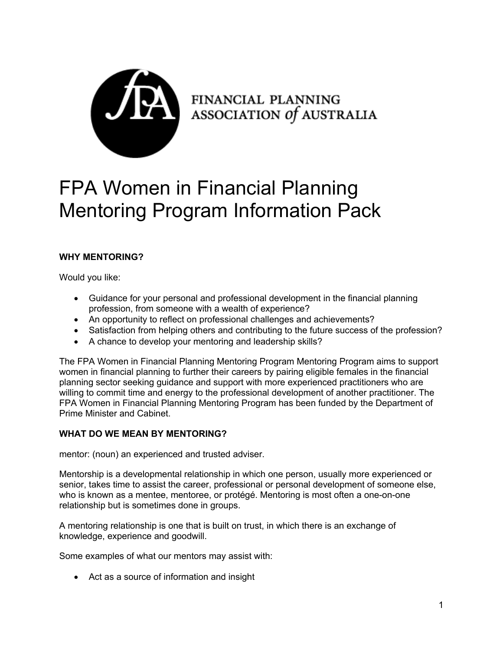

FINANCIAL PLANNING<br>ASSOCIATION Of AUSTRALIA

# FPA Women in Financial Planning Mentoring Program Information Pack

# **WHY MENTORING?**

Would you like:

- Guidance for your personal and professional development in the financial planning profession, from someone with a wealth of experience?
- An opportunity to reflect on professional challenges and achievements?
- Satisfaction from helping others and contributing to the future success of the profession?
- A chance to develop your mentoring and leadership skills?

The FPA Women in Financial Planning Mentoring Program Mentoring Program aims to support women in financial planning to further their careers by pairing eligible females in the financial planning sector seeking guidance and support with more experienced practitioners who are willing to commit time and energy to the professional development of another practitioner. The FPA Women in Financial Planning Mentoring Program has been funded by the Department of Prime Minister and Cabinet.

## **WHAT DO WE MEAN BY MENTORING?**

mentor: (noun) an experienced and trusted adviser.

Mentorship is a developmental relationship in which one person, usually more experienced or senior, takes time to assist the career, professional or personal development of someone else, who is known as a mentee, mentoree, or protégé. Mentoring is most often a one-on-one relationship but is sometimes done in groups.

A mentoring relationship is one that is built on trust, in which there is an exchange of knowledge, experience and goodwill.

Some examples of what our mentors may assist with:

• Act as a source of information and insight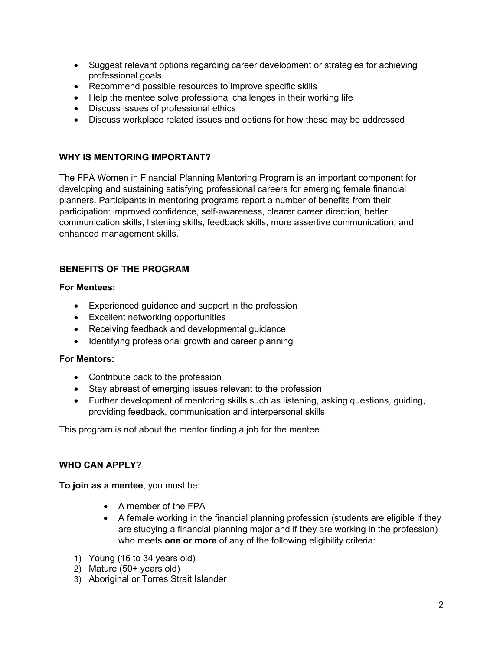- Suggest relevant options regarding career development or strategies for achieving professional goals
- Recommend possible resources to improve specific skills
- Help the mentee solve professional challenges in their working life
- Discuss issues of professional ethics
- Discuss workplace related issues and options for how these may be addressed

#### **WHY IS MENTORING IMPORTANT?**

The FPA Women in Financial Planning Mentoring Program is an important component for developing and sustaining satisfying professional careers for emerging female financial planners. Participants in mentoring programs report a number of benefits from their participation: improved confidence, self-awareness, clearer career direction, better communication skills, listening skills, feedback skills, more assertive communication, and enhanced management skills.

#### **BENEFITS OF THE PROGRAM**

#### **For Mentees:**

- Experienced guidance and support in the profession
- Excellent networking opportunities
- Receiving feedback and developmental guidance
- Identifying professional growth and career planning

#### **For Mentors:**

- Contribute back to the profession
- Stay abreast of emerging issues relevant to the profession
- Further development of mentoring skills such as listening, asking questions, guiding, providing feedback, communication and interpersonal skills

This program is not about the mentor finding a job for the mentee.

#### **WHO CAN APPLY?**

**To join as a mentee**, you must be:

- A member of the FPA
- A female working in the financial planning profession (students are eligible if they are studying a financial planning major and if they are working in the profession) who meets **one or more** of any of the following eligibility criteria:
- 1) Young (16 to 34 years old)
- 2) Mature (50+ years old)
- 3) Aboriginal or Torres Strait Islander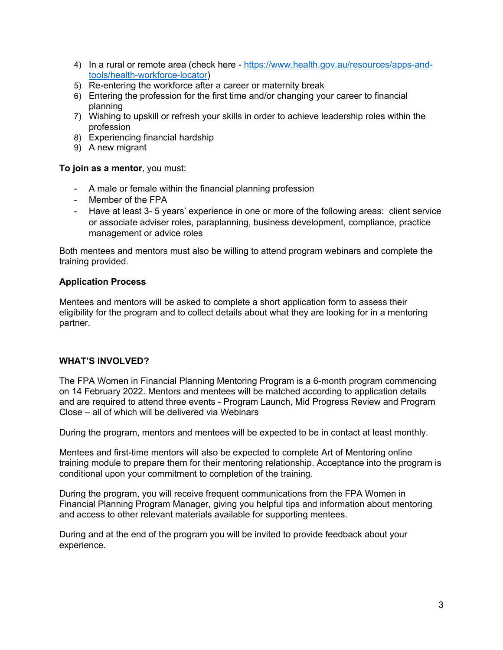- 4) In a rural or remote area (check here https://www.health.gov.au/resources/apps-andtools/health-workforce-locator)
- 5) Re-entering the workforce after a career or maternity break
- 6) Entering the profession for the first time and/or changing your career to financial planning
- 7) Wishing to upskill or refresh your skills in order to achieve leadership roles within the profession
- 8) Experiencing financial hardship
- 9) A new migrant

#### **To join as a mentor**, you must:

- A male or female within the financial planning profession
- Member of the FPA
- Have at least 3- 5 years' experience in one or more of the following areas: client service or associate adviser roles, paraplanning, business development, compliance, practice management or advice roles

Both mentees and mentors must also be willing to attend program webinars and complete the training provided.

## **Application Process**

Mentees and mentors will be asked to complete a short application form to assess their eligibility for the program and to collect details about what they are looking for in a mentoring partner.

#### **WHAT'S INVOLVED?**

The FPA Women in Financial Planning Mentoring Program is a 6-month program commencing on 14 February 2022. Mentors and mentees will be matched according to application details and are required to attend three events - Program Launch, Mid Progress Review and Program Close – all of which will be delivered via Webinars

During the program, mentors and mentees will be expected to be in contact at least monthly.

Mentees and first-time mentors will also be expected to complete Art of Mentoring online training module to prepare them for their mentoring relationship. Acceptance into the program is conditional upon your commitment to completion of the training.

During the program, you will receive frequent communications from the FPA Women in Financial Planning Program Manager, giving you helpful tips and information about mentoring and access to other relevant materials available for supporting mentees.

During and at the end of the program you will be invited to provide feedback about your experience.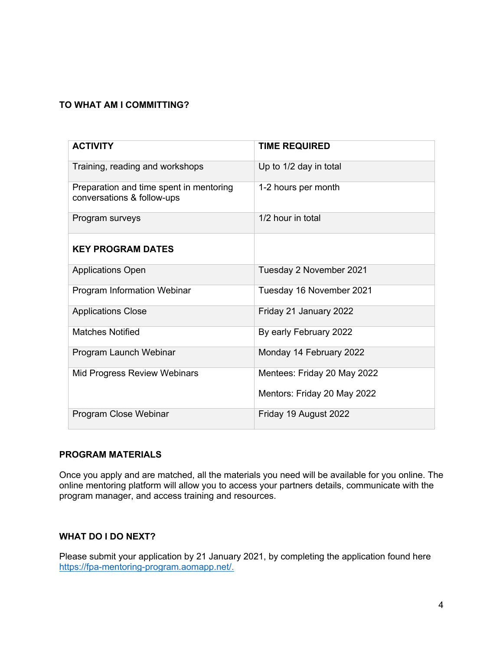# **TO WHAT AM I COMMITTING?**

| <b>ACTIVITY</b>                                                       | <b>TIME REQUIRED</b>        |
|-----------------------------------------------------------------------|-----------------------------|
| Training, reading and workshops                                       | Up to 1/2 day in total      |
| Preparation and time spent in mentoring<br>conversations & follow-ups | 1-2 hours per month         |
| Program surveys                                                       | 1/2 hour in total           |
| <b>KEY PROGRAM DATES</b>                                              |                             |
| <b>Applications Open</b>                                              | Tuesday 2 November 2021     |
| Program Information Webinar                                           | Tuesday 16 November 2021    |
| <b>Applications Close</b>                                             | Friday 21 January 2022      |
| <b>Matches Notified</b>                                               | By early February 2022      |
| Program Launch Webinar                                                | Monday 14 February 2022     |
| Mid Progress Review Webinars                                          | Mentees: Friday 20 May 2022 |
|                                                                       | Mentors: Friday 20 May 2022 |
| Program Close Webinar                                                 | Friday 19 August 2022       |

# **PROGRAM MATERIALS**

Once you apply and are matched, all the materials you need will be available for you online. The online mentoring platform will allow you to access your partners details, communicate with the program manager, and access training and resources.

#### **WHAT DO I DO NEXT?**

Please submit your application by 21 January 2021, by completing the application found here https://fpa-mentoring-program.aomapp.net/.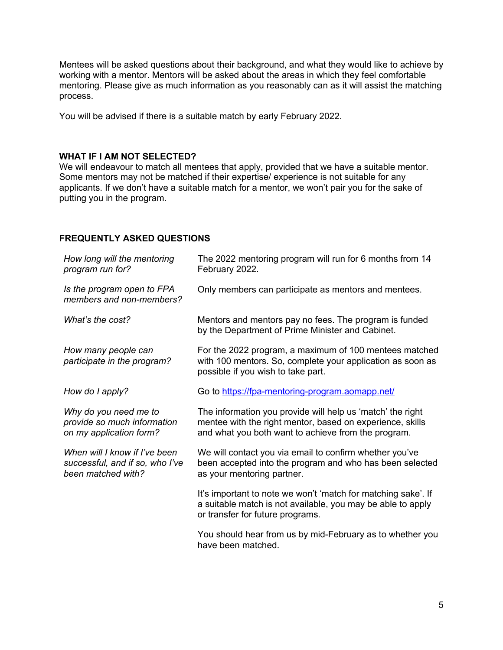Mentees will be asked questions about their background, and what they would like to achieve by working with a mentor. Mentors will be asked about the areas in which they feel comfortable mentoring. Please give as much information as you reasonably can as it will assist the matching process.

You will be advised if there is a suitable match by early February 2022.

#### **WHAT IF I AM NOT SELECTED?**

We will endeavour to match all mentees that apply, provided that we have a suitable mentor. Some mentors may not be matched if their expertise/ experience is not suitable for any applicants. If we don't have a suitable match for a mentor, we won't pair you for the sake of putting you in the program.

## **FREQUENTLY ASKED QUESTIONS**

| How long will the mentoring<br>program run for?                                        | The 2022 mentoring program will run for 6 months from 14<br>February 2022.                                                                                                     |
|----------------------------------------------------------------------------------------|--------------------------------------------------------------------------------------------------------------------------------------------------------------------------------|
| Is the program open to FPA<br>members and non-members?                                 | Only members can participate as mentors and mentees.                                                                                                                           |
| What's the cost?                                                                       | Mentors and mentors pay no fees. The program is funded<br>by the Department of Prime Minister and Cabinet.                                                                     |
| How many people can<br>participate in the program?                                     | For the 2022 program, a maximum of 100 mentees matched<br>with 100 mentors. So, complete your application as soon as<br>possible if you wish to take part.                     |
| How do I apply?                                                                        | Go to https://fpa-mentoring-program.aomapp.net/                                                                                                                                |
| Why do you need me to<br>provide so much information<br>on my application form?        | The information you provide will help us 'match' the right<br>mentee with the right mentor, based on experience, skills<br>and what you both want to achieve from the program. |
| When will I know if I've been<br>successful, and if so, who I've<br>been matched with? | We will contact you via email to confirm whether you've<br>been accepted into the program and who has been selected<br>as your mentoring partner.                              |
|                                                                                        | It's important to note we won't 'match for matching sake'. If<br>a suitable match is not available, you may be able to apply<br>or transfer for future programs.               |
|                                                                                        | You should hear from us by mid-February as to whether you<br>have been matched.                                                                                                |